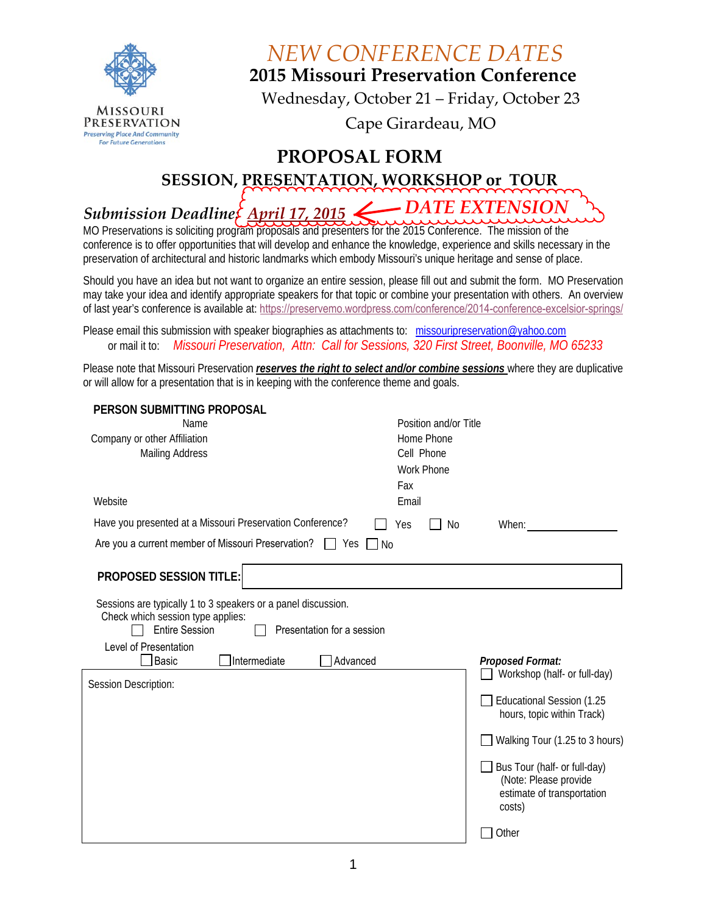

*NEW CONFERENCE DATES*

**2015 Missouri Preservation Conference** 

Wednesday, October 21 – Friday, October 23

Cape Girardeau, MO

#### **PROPOSAL FORM**

**SESSION, PRESENTATION, WORKSHOP or TOUR** 

#### *Submission Deadline: April 17, 2015 DATE EXTENSION*

MO Preservations is soliciting program proposals and presenters for the 2015 Conference. The mission of the conference is to offer opportunities that will develop and enhance the knowledge, experience and skills necessary in the preservation of architectural and historic landmarks which embody Missouri's unique heritage and sense of place.

Should you have an idea but not want to organize an entire session, please fill out and submit the form. MO Preservation may take your idea and identify appropriate speakers for that topic or combine your presentation with others. An overview of last year's conference is available at: [https://preservemo.wordpress.com/conference](http://preservemo.wordpress.com/conference/)/2014-conference-excelsior-springs/

Please email this submission with speaker biographies as attachments to: [missouripreservation@yahoo.com](mailto:missouripreservation@yahoo.com) or mail it to: *Missouri Preservation, Attn: Call for Sessions, 320 First Street, Boonville, MO 65233*

Please note that Missouri Preservation *reserves the right to select and/or combine sessions* where they are duplicative or will allow for a presentation that is in keeping with the conference theme and goals.

| PERSON SUBMITTING PROPOSAL<br>Name                                                                                                                        | Position and/or Title                                                                         |
|-----------------------------------------------------------------------------------------------------------------------------------------------------------|-----------------------------------------------------------------------------------------------|
| Company or other Affiliation                                                                                                                              | Home Phone                                                                                    |
| Mailing Address                                                                                                                                           | Cell Phone<br><b>Work Phone</b>                                                               |
|                                                                                                                                                           | Fax                                                                                           |
| Website                                                                                                                                                   | Email                                                                                         |
| Have you presented at a Missouri Preservation Conference?                                                                                                 | No.<br>When:<br>Yes                                                                           |
| Are you a current member of Missouri Preservation? $\Box$ Yes $\Box$ No                                                                                   |                                                                                               |
| <b>PROPOSED SESSION TITLE:</b>                                                                                                                            |                                                                                               |
| Sessions are typically 1 to 3 speakers or a panel discussion.<br>Check which session type applies:<br><b>Entire Session</b><br>Presentation for a session |                                                                                               |
| Level of Presentation<br><b>Basic</b><br>Intermediate                                                                                                     | Proposed Format:<br>Advanced<br>Workshop (half- or full-day)                                  |
| Session Description:                                                                                                                                      | Educational Session (1.25<br>hours, topic within Track)                                       |
|                                                                                                                                                           | Walking Tour (1.25 to 3 hours)                                                                |
|                                                                                                                                                           | Bus Tour (half- or full-day)<br>(Note: Please provide<br>estimate of transportation<br>costs) |
|                                                                                                                                                           | Other                                                                                         |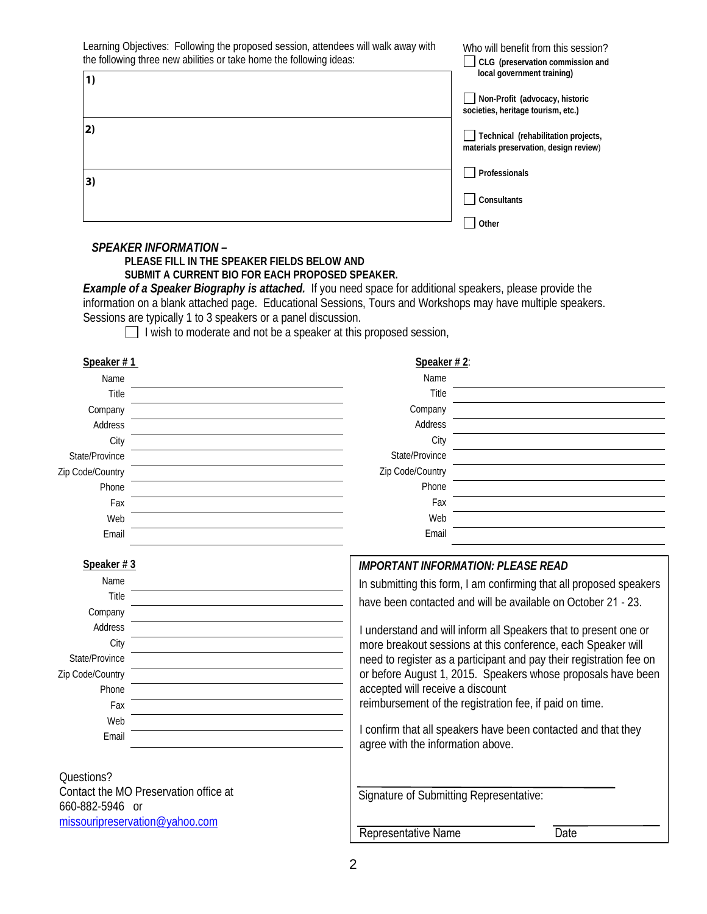Learning Objectives: Following the proposed session, attendees will walk away with Who will benefit from this session? the following three new abilities or take home the following ideas: **CLG (preservation commission and local government training)**  $1)$ 1)<br>2)<br>3) **Non-Profit (advocacy, historic societies, heritage tourism, etc.)**  $2)$ **Technical (rehabilitation projects, materials preservation**, **design review**) **Professionals**  $3)$ **Consultants Other**   *SPEAKER INFORMATION –*  **PLEASE FILL IN THE SPEAKER FIELDS BELOW AND SUBMIT A CURRENT BIO FOR EACH PROPOSED SPEAKER.**  *Example of a Speaker Biography is attached.* If you need space for additional speakers, please provide the information on a blank attached page. Educational Sessions, Tours and Workshops may have multiple speakers. Sessions are typically 1 to 3 speakers or a panel discussion.  $\Box$  I wish to moderate and not be a speaker at this proposed session, **Speaker # 1 Speaker # 2**: Name Name Title Title Company Company Address Address **City City** State/Province State/Province Zip Code/Country Zip Code/Country Phone Phone Fax Fax Web Web Email Email **Speaker # 3** *IMPORTANT INFORMATION: PLEASE READ*  Name In submitting this form, I am confirming that all proposed speakers Title have been contacted and will be available on October 21 - 23. Company Address I understand and will inform all Speakers that to present one or **City** more breakout sessions at this conference, each Speaker will State/Province need to register as a participant and pay their registration fee on Zip Code/Country or before August 1, 2015. Speakers whose proposals have been accepted will receive a discount Phone reimbursement of the registration fee, if paid on time. Fax Web I confirm that all speakers have been contacted and that they Email agree with the information above. Questions? Contact the MO Preservation office at Signature of Submitting Representative: 660-[882-5946 or](mailto:missouripreservation@yahoo.com)  missouripreservation@yahoo.com Representative Name Date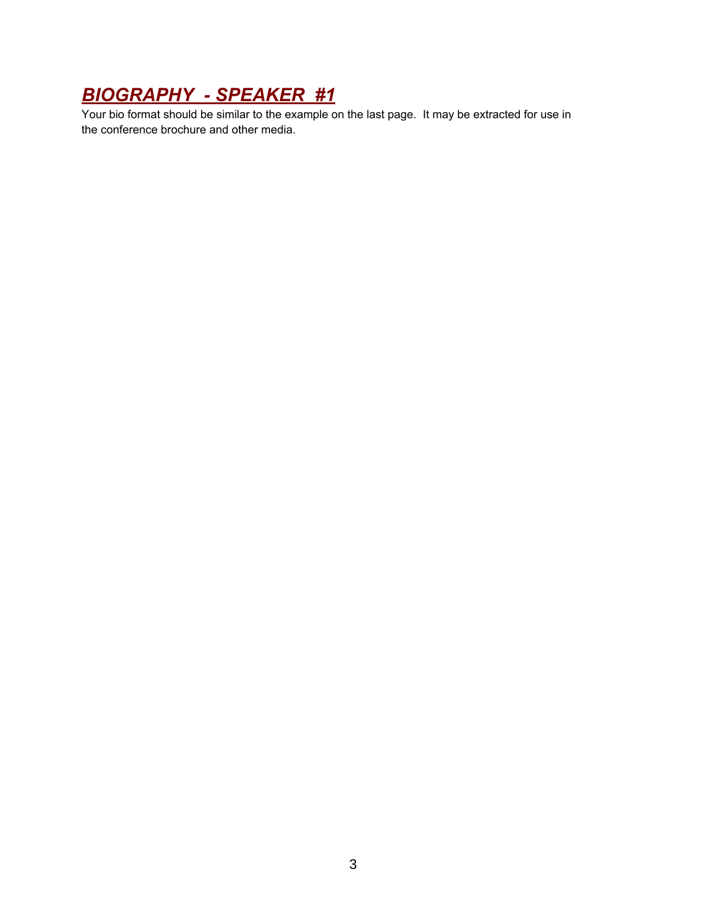# *BIOGRAPHY - SPEAKER #1*

Your bio format should be similar to the example on the last page. It may be extracted for use in the conference brochure and other media.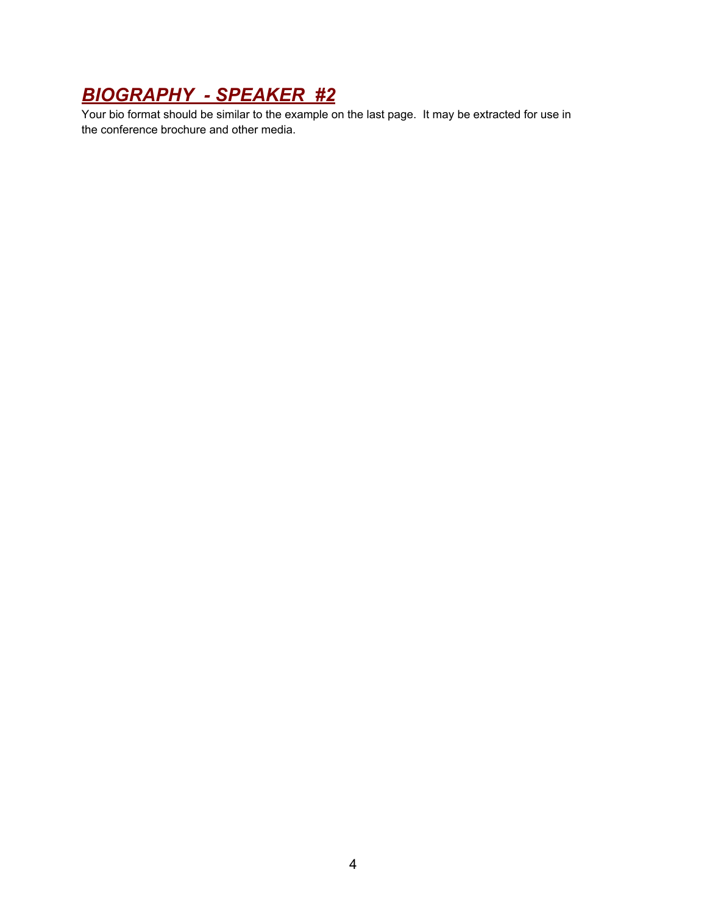# *BIOGRAPHY - SPEAKER #2*

Your bio format should be similar to the example on the last page. It may be extracted for use in the conference brochure and other media.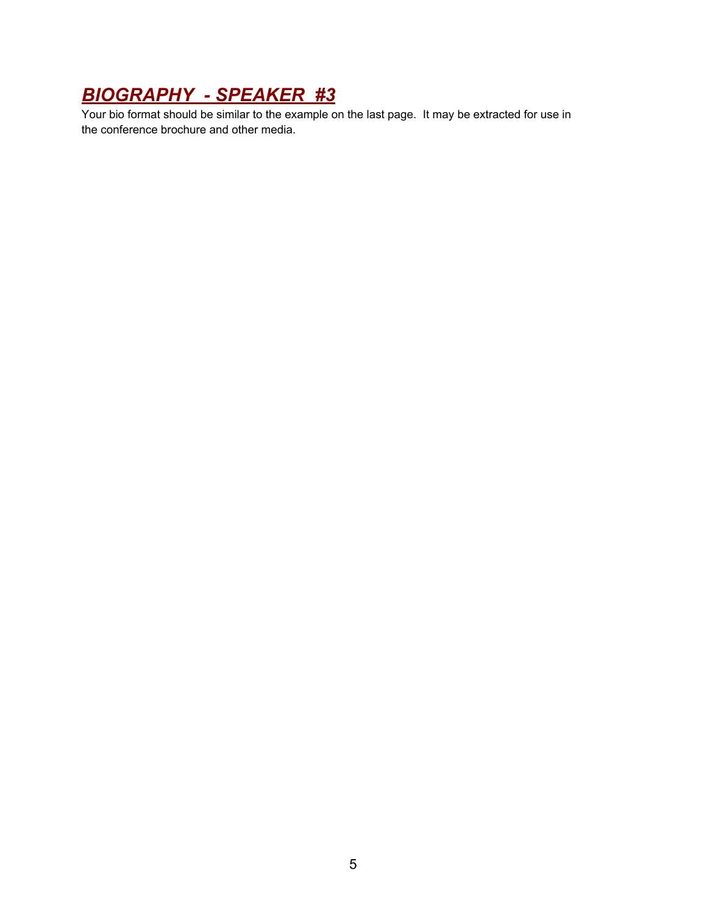# *BIOGRAPHY - SPEAKER #3*

Your bio format should be similar to the example on the last page. It may be extracted for use in the conference brochure and other media.